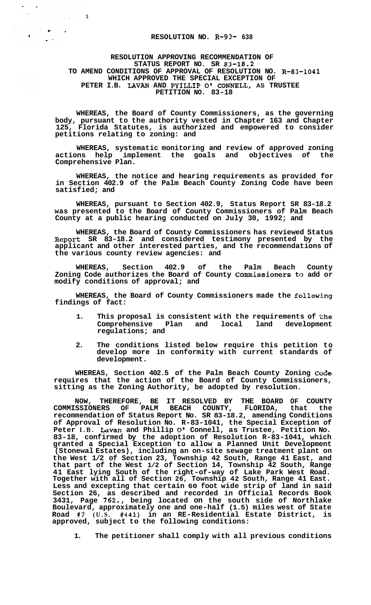## **RESOLUTION NO. R-93- 638**

## **RESOLUTION APPROVING RECOMMENDATION OF STATUS REPORT NO. SR 83-18.2 TO AMEND CONDITIONS OF APPROVAL OF RESOLUTION NO. R-83-1041 WHICH APPROVED THE SPECIAL EXCEPTION OF PETER I.B. LAVAN AND PYILLIP** *0'* **CONNEU, AS TRUSTEE PETITION NO. 83-18**

 $\ddot{\chi}$ 

 $\sim$ 

 $\label{eq:2} \begin{split} \mathcal{L}^{(1)}(p) &= \mathcal{L}^{(1)}(p) \,, \qquad \mathcal{L}^{(2)}(p) = \mathcal{L}^{(1)}(p) \,, \qquad \mathcal{L}^{(2)}(p) = \mathcal{L}^{(2)}(p) \,, \qquad \mathcal{L}^{(2)}(p) = \mathcal{L}^{(2)}(p) \,, \qquad \mathcal{L}^{(2)}(p) = \mathcal{L}^{(2)}(p) \,, \qquad \mathcal{L}^{(2)}(p) = \mathcal{L}^{(2)}(p) \,, \qquad \mathcal{L}^{(2)}(p) = \math$ 

 $\mathbf{r}$ 

**WHEREAS, the Board of County Commissioners, as the governing body, pursuant to the authority vested in Chapter 163 and Chapter 125, Florida Statutes, is authorized and empowered to consider petitions relating to zoning: and** 

**WHEREAS, systematic monitoring and review of approved zoning actions help implement the goals and objectives of the Comprehensive Plan.** 

**WHEREAS, the notice and hearing requirements as provided for in Section 402.9 of the Palm Beach County Zoning Code have been satisfied; and** 

**WHEREAS, pursuant to Section 402.9, Status Report SR 83-18.2 was presented to the Board of County Commissioners of Palm Beach County at a public hearing conducted on July 30, 1992; and** 

**WHEREAS, the Board of County Commissioners has reviewed Status Report SR 83-18.2 and considered testimony presented by the applicant and other interested parties, and the recommendations of the various county review agencies: and** 

**WHEREAS, Section 402.9 of the Palm Beach County Zoning Code authorizes the Board of County Commissioners to add or modify conditions of approval; and** 

**WHEREAS, the Board of County Commissioners made the following findings of fact:** 

- **1. This proposal is consistent with the requirements of the Comprehensive Plan and local land development regulations; and**
- **2. The conditions listed below require this petition to develop more in conformity with current standards of development.**

**WHEREAS, Section 402.5 of the Palm Beach County Zoning CoCe requires that the action of the Board of County Commissioners, sitting as the Zoning Authority, be adopted by resolution.** 

**NOW, THEREFORE, BE IT RESOLVED BY THE BOARD OF COUNTY COMMISSIONERS OF PALM BEACH COUNTY, FLORIDA, that the recommendation of Status Report No. SR 83-18.2, amending Conditions of Approval of Resolution No. R-83-1041, the Special Exception of Peter I.B. Lavan and Phillip** *0'* **Connell, as Trustee, Petition No. 83-18, confirmed by the adoption of Resolution R-83-1041, which granted a Special Exception to allow a Planned Unit Development (Stonewal Estates), including an on-site sewage treatment plant on the West 1/2 of Section 23, Township 42 South, Range 41 East, and that part of the West 1/2 of Section 14, Township 42 South, Range 41 East lying South of the right-of-way of Lake Park West Road. Together with all of Section 26, Township 42 South, Range 41 East. Less and excepting that certain 60 foot wide strip of land in said Section 26, as described and recorded in Official Records Book 3431, Page 762., being located on the south side of Northlake Boulevard, approximately one and one-half (1.5) miles west of State Road #7- (U.S. #441) in an RE-Residential Estate District, is approved, subject to the following conditions:** 

**1. The petitioner shall comply with all previous conditions**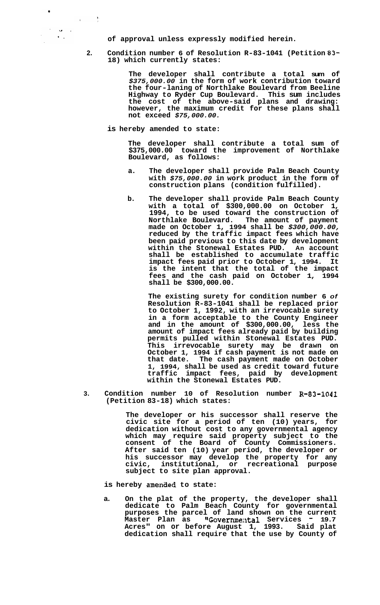**of approval unless expressly modified herein.** 

**2. Condition number 6 of Resolution R-83-1041 (Petition 83- 18) which currently states:** 

> **The developer shall contribute a total sum of**  *\$375,000.00* **in the form of work contribution toward the four-laning of Northlake Boulevard from Beeline Highway to Ryder Cup Boulevard. This sum includes the cost of the above-said plans and drawing: however, the maximum credit for these plans shall not exceed** *\$75,000.00.*

**is hereby amended to state:** 

 $\mathcal{A}^{\text{max}}$  ,  $\mathcal{A}^{\text{max}}$ 

 $\label{eq:2} \frac{d\mathbf{r}}{d\mathbf{r}} = \frac{\mathbf{r}}{d\mathbf{r}}\left(\mathbf{r}^T\mathbf{r}^T\mathbf{r}^T\right)$ 

**The developer shall contribute a total sum of \$375,000.00 toward the improvement of Northlake Boulevard, as follows:** 

- **a. The developer shall provide Palm Beach County with** *\$75,000.00* **in work product in the form of construction plans (condition fulfilled).**
- **b. The developer shall provide Palm Beach County with a total of \$300,000.00 on October 1, 1994, to be used toward the construction of Northlake Boulevard. The amount of payment made on October 1, 1994 shall be** *\$300,000.00,*  **reduced by the traffic impact fees which have been paid previous to this date by development within the Stonewal Estates PUD. An account shall be established to accumulate traffic impact fees paid prior to October 1, 1994. It is the intent that the total of the impact fees and the cash paid on October 1, 1994 shall be \$300,000.00.**

**The existing surety for condition number 6** *of*  **Resolution R-83-1041 shall be replaced prior to October 1, 1992, with an irrevocable surety in a form acceptable to the County Engineer and in the amount of \$300,000.00, less the amount of impact fees already paid by building permits pulled within Stonewal Estates PUD. This irrevocable surety may be drawn on October 1, 1994 if cash payment is not made on that date. The cash payment made on October 1, 1994, shall be used as credit toward future traffic impact fees, paid by development within the Stonewal Estates PUD.** 

**3. Condition number 10 of Resolution number R-83-1041 (Petition 83-18) which states:** 

> **The developer or his successor shall reserve the civic site for a period of ten (10) years, for dedication without cost to any governmental agency which may require said property subject to the consent of the Board of County Commissioners. After said ten (10) year period, the developer or his successor may develop the property for any civic, institutional, or recreational purpose subject to site plan approval.**

is hereby amended to state:

**a. On the plat of the property, the developer shall dedicate to Palm Beach County for governmental purposes the parcel of land shown on the current Master Plan as nGovernme;ltal Services** - **19.7 Acres" on or before August 1, 1993. Said plat dedication shall require that the use by County of**